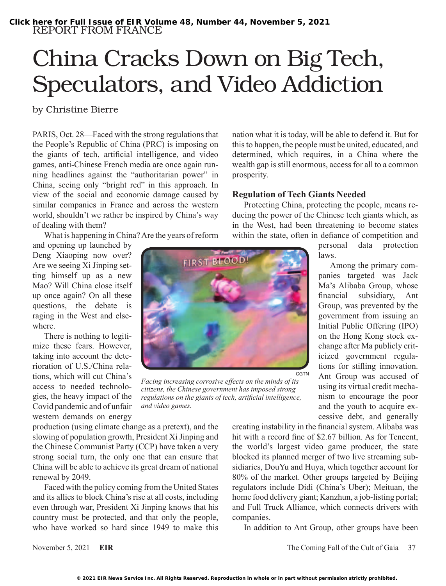## China Cracks Down on Big Tech, Speculators, and Video Addiction

by Christine Bierre

PARIS, Oct. 28—Faced with the strong regulations that the People's Republic of China (PRC) is imposing on the giants of tech, artificial intelligence, and video games, anti-Chinese French media are once again running headlines against the "authoritarian power" in China, seeing only "bright red" in this approach. In view of the social and economic damage caused by similar companies in France and across the western world, shouldn't we rather be inspired by China's way of dealing with them?

What is happening in China? Are the years of reform

and opening up launched by Deng Xiaoping now over? Are we seeing Xi Jinping setting himself up as a new Mao? Will China close itself up once again? On all these questions, the debate is raging in the West and elsewhere.

There is nothing to legitimize these fears. However, taking into account the deterioration of U.S./China relations, which will cut China's access to needed technologies, the heavy impact of the Covid pandemic and of unfair western demands on energy



*Facing increasing corrosive effects on the minds of its citizens, the Chinese government has imposed strong regulations on the giants of tech, artificial intelligence, and video games.*

production (using climate change as a pretext), and the slowing of population growth, President Xi Jinping and the Chinese Communist Party (CCP) have taken a very strong social turn, the only one that can ensure that China will be able to achieve its great dream of national renewal by 2049.

Faced with the policy coming from the United States and its allies to block China's rise at all costs, including even through war, President Xi Jinping knows that his country must be protected, and that only the people, who have worked so hard since 1949 to make this nation what it is today, will be able to defend it. But for this to happen, the people must be united, educated, and determined, which requires, in a China where the wealth gap is still enormous, access for all to a common prosperity.

## **Regulation of Tech Giants Needed**

Protecting China, protecting the people, means reducing the power of the Chinese tech giants which, as in the West, had been threatening to become states within the state, often in defiance of competition and

> personal data protection laws.

> Among the primary companies targeted was Jack Ma's Alibaba Group, whose financial subsidiary, Ant Group, was prevented by the government from issuing an Initial Public Offering (IPO) on the Hong Kong stock exchange after Ma publicly criticized government regulations for stifling innovation. Ant Group was accused of using its virtual credit mechanism to encourage the poor and the youth to acquire excessive debt, and generally

creating instability in the financial system. Alibaba was hit with a record fine of \$2.67 billion. As for Tencent, the world's largest video game producer, the state blocked its planned merger of two live streaming subsidiaries, DouYu and Huya, which together account for 80% of the market. Other groups targeted by Beijing regulators include Didi (China's Uber); Meituan, the home food delivery giant; Kanzhun, a job-listing portal; and Full Truck Alliance, which connects drivers with companies.

In addition to Ant Group, other groups have been

November 5, 2021 **EIR** The Coming Fall of the Cult of Gaia 37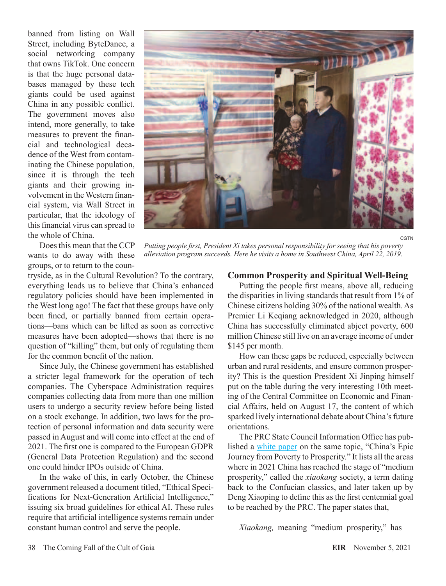banned from listing on Wall Street, including ByteDance, a social networking company that owns TikTok. One concern is that the huge personal databases managed by these tech giants could be used against China in any possible conflict. The government moves also intend, more generally, to take measures to prevent the financial and technological decadence of the West from contaminating the Chinese population, since it is through the tech giants and their growing involvement in the Western financial system, via Wall Street in particular, that the ideology of this financial virus can spread to the whole of China.

Does this mean that the CCP wants to do away with these groups, or to return to the coun-

tryside, as in the Cultural Revolution? To the contrary, everything leads us to believe that China's enhanced regulatory policies should have been implemented in the West long ago! The fact that these groups have only been fined, or partially banned from certain operations—bans which can be lifted as soon as corrective measures have been adopted—shows that there is no question of "killing" them, but only of regulating them for the common benefit of the nation.

Since July, the Chinese government has established a stricter legal framework for the operation of tech companies. The Cyberspace Administration requires companies collecting data from more than one million users to undergo a security review before being listed on a stock exchange. In addition, two laws for the protection of personal information and data security were passed in August and will come into effect at the end of 2021. The first one is compared to the European GDPR (General Data Protection Regulation) and the second one could hinder IPOs outside of China.

In the wake of this, in early October, the Chinese government released a document titled, "Ethical Specifications for Next-Generation Artificial Intelligence," issuing six broad guidelines for ethical AI. These rules require that artificial intelligence systems remain under constant human control and serve the people.



*Putting people first, President Xi takes personal responsibility for seeing that his poverty alleviation program succeeds. Here he visits a home in Southwest China, April 22, 2019.*

## **Common Prosperity and Spiritual Well-Being**

Putting the people first means, above all, reducing the disparities in living standards that result from 1% of Chinese citizens holding 30% of the national wealth. As Premier Li Keqiang acknowledged in 2020, although China has successfully eliminated abject poverty, 600 million Chinese still live on an average income of under \$145 per month.

How can these gaps be reduced, especially between urban and rural residents, and ensure common prosperity? This is the question President Xi Jinping himself put on the table during the very interesting 10th meeting of the Central Committee on Economic and Financial Affairs, held on August 17, the content of which sparked lively international debate about China's future orientations.

The PRC State Council Information Office has published a [white paper](https://news.cgtn.com/news/files/Full-Text-China) on the same topic, "China's Epic Journey from Poverty to Prosperity." It lists all the areas where in 2021 China has reached the stage of "medium prosperity," called the *xiaokang* society, a term dating back to the Confucian classics, and later taken up by Deng Xiaoping to define this as the first centennial goal to be reached by the PRC. The paper states that,

*Xiaokang,* meaning "medium prosperity," has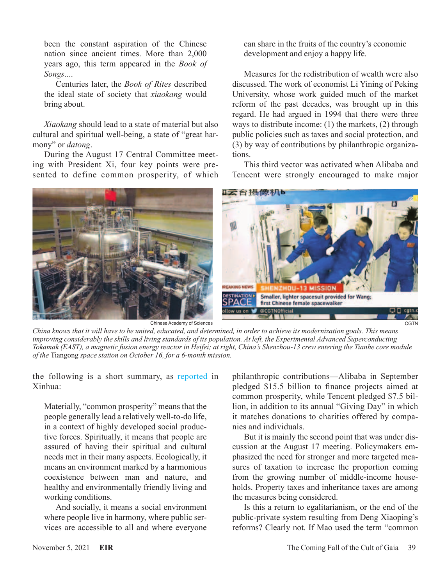been the constant aspiration of the Chinese nation since ancient times. More than 2,000 years ago, this term appeared in the *Book of Songs*....

Centuries later, the *Book of Rites* described the ideal state of society that *xiaokang* would bring about.

*Xiaokang* should lead to a state of material but also cultural and spiritual well-being, a state of "great harmony" or *datong*.

During the August 17 Central Committee meeting with President Xi, four key points were presented to define common prosperity, of which can share in the fruits of the country's economic development and enjoy a happy life.

Measures for the redistribution of wealth were also discussed. The work of economist Li Yining of Peking University, whose work guided much of the market reform of the past decades, was brought up in this regard. He had argued in 1994 that there were three ways to distribute income: (1) the markets, (2) through public policies such as taxes and social protection, and (3) by way of contributions by philanthropic organizations.

This third vector was activated when Alibaba and Tencent were strongly encouraged to make major



Chinese Academy of Sciences

**CGTN** 

*China knows that it will have to be united, educated, and determined, in order to achieve its modernization goals. This means improving considerably the skills and living standards of its population. At left, the Experimental Advanced Superconducting Tokamak (EAST), a magnetic fusion energy reactor in Heifei; at right, China's Shenzhou-13 crew entering the Tianhe core module of the* Tiangong *space station on October 16, for a 6-month mission.*

the following is a short summary, as [reported](http://www.xinhuanet.com/english/2021-08/18/c_1310133051.html) in Xinhua:

Materially, "common prosperity" means that the people generally lead a relatively well-to-do life, in a context of highly developed social productive forces. Spiritually, it means that people are assured of having their spiritual and cultural needs met in their many aspects. Ecologically, it means an environment marked by a harmonious coexistence between man and nature, and healthy and environmentally friendly living and working conditions.

And socially, it means a social environment where people live in harmony, where public services are accessible to all and where everyone

philanthropic contributions—Alibaba in September pledged \$15.5 billion to finance projects aimed at common prosperity, while Tencent pledged \$7.5 billion, in addition to its annual "Giving Day" in which it matches donations to charities offered by companies and individuals.

But it is mainly the second point that was under discussion at the August 17 meeting. Policymakers emphasized the need for stronger and more targeted measures of taxation to increase the proportion coming from the growing number of middle-income households. Property taxes and inheritance taxes are among the measures being considered.

Is this a return to egalitarianism, or the end of the public-private system resulting from Deng Xiaoping's reforms? Clearly not. If Mao used the term "common